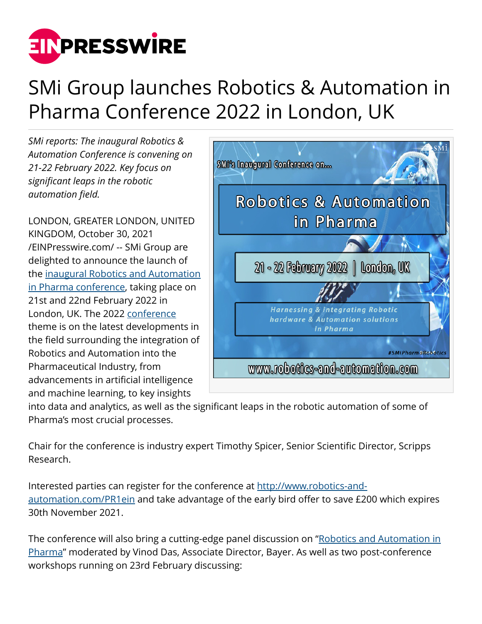

## SMi Group launches Robotics & Automation in Pharma Conference 2022 in London, UK

*SMi reports: The inaugural Robotics & Automation Conference is convening on 21-22 February 2022. Key focus on significant leaps in the robotic automation field.*

LONDON, GREATER LONDON, UNITED KINGDOM, October 30, 2021 [/EINPresswire.com/](http://www.einpresswire.com) -- SMi Group are delighted to announce the launch of the [inaugural Robotics and Automation](http://www.robotics-and-automation.com/PR1ein) [in Pharma conference,](http://www.robotics-and-automation.com/PR1ein) taking place on 21st and 22nd February 2022 in London, UK. The 2022 [conference](http://www.robotics-and-automation.com/PR1ein) theme is on the latest developments in the field surrounding the integration of Robotics and Automation into the Pharmaceutical Industry, from advancements in artificial intelligence and machine learning, to key insights



into data and analytics, as well as the significant leaps in the robotic automation of some of Pharma's most crucial processes.

Chair for the conference is industry expert Timothy Spicer, Senior Scientific Director, Scripps Research.

Interested parties can register for the conference at [http://www.robotics-and](http://www.robotics-and-automation.com/PR1ein)[automation.com/PR1ein](http://www.robotics-and-automation.com/PR1ein) and take advantage of the early bird offer to save £200 which expires 30th November 2021.

The conference will also bring a cutting-edge panel discussion on "[Robotics and Automation in](http://www.robotics-and-automation.com/PR1ein) [Pharma"](http://www.robotics-and-automation.com/PR1ein) moderated by Vinod Das, Associate Director, Bayer. As well as two post-conference workshops running on 23rd February discussing: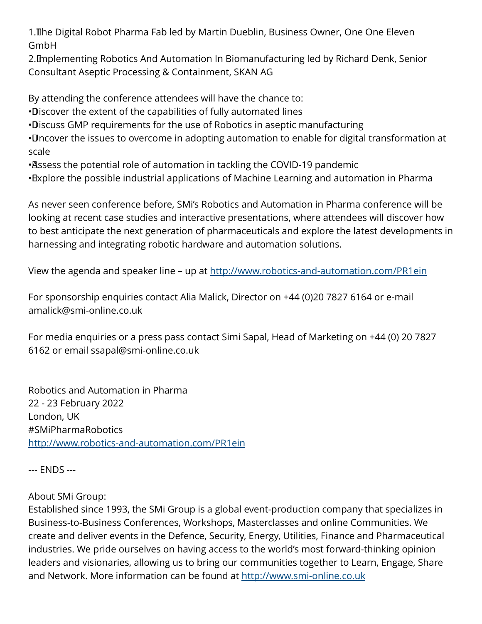1. The Digital Robot Pharma Fab led by Martin Dueblin, Business Owner, One One Eleven GmbH

2. Implementing Robotics And Automation In Biomanufacturing led by Richard Denk, Senior Consultant Aseptic Processing & Containment, SKAN AG

By attending the conference attendees will have the chance to:

• Discover the extent of the capabilities of fully automated lines

• Discuss GMP requirements for the use of Robotics in aseptic manufacturing

• Uncover the issues to overcome in adopting automation to enable for digital transformation at scale

• Assess the potential role of automation in tackling the COVID-19 pandemic

• Explore the possible industrial applications of Machine Learning and automation in Pharma

As never seen conference before, SMi's Robotics and Automation in Pharma conference will be looking at recent case studies and interactive presentations, where attendees will discover how to best anticipate the next generation of pharmaceuticals and explore the latest developments in harnessing and integrating robotic hardware and automation solutions.

View the agenda and speaker line – up at <http://www.robotics-and-automation.com/PR1ein>

For sponsorship enquiries contact Alia Malick, Director on +44 (0)20 7827 6164 or e-mail amalick@smi-online.co.uk

For media enquiries or a press pass contact Simi Sapal, Head of Marketing on +44 (0) 20 7827 6162 or email ssapal@smi-online.co.uk

Robotics and Automation in Pharma 22 - 23 February 2022 London, UK #SMiPharmaRobotics <http://www.robotics-and-automation.com/PR1ein>

--- ENDS ---

## About SMi Group:

Established since 1993, the SMi Group is a global event-production company that specializes in Business-to-Business Conferences, Workshops, Masterclasses and online Communities. We create and deliver events in the Defence, Security, Energy, Utilities, Finance and Pharmaceutical industries. We pride ourselves on having access to the world's most forward-thinking opinion leaders and visionaries, allowing us to bring our communities together to Learn, Engage, Share and Network. More information can be found at<http://www.smi-online.co.uk>